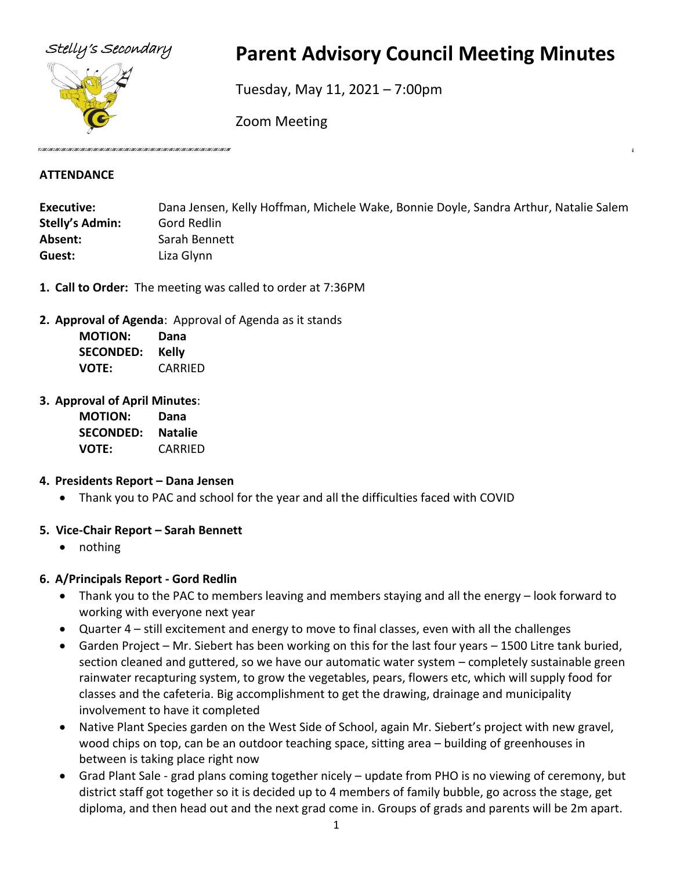

# Stelly's Secondary **Parent Advisory Council Meeting Minutes**

Tuesday, May 11, 2021 – 7:00pm

Zoom Meeting

#### **ATTENDANCE**

| <b>Executive:</b> | Dana Jensen, Kelly Hoffman, Michele Wake, Bonnie Doyle, Sandra Arthur, Natalie Salem |
|-------------------|--------------------------------------------------------------------------------------|
| Stelly's Admin:   | Gord Redlin                                                                          |
| Absent:           | Sarah Bennett                                                                        |
| Guest:            | Liza Glynn                                                                           |

- **1. Call to Order:** The meeting was called to order at 7:36PM
- **2. Approval of Agenda**: Approval of Agenda as it stands

| <b>MOTION:</b>   | Dana    |
|------------------|---------|
| <b>SECONDED:</b> | Kelly   |
| VOTE:            | CARRIED |

**3. Approval of April Minutes**:

| <b>MOTION:</b>   | Dana           |
|------------------|----------------|
| <b>SECONDED:</b> | <b>Natalie</b> |
| <b>VOTE:</b>     | CARRIED        |

# **4. Presidents Report – Dana Jensen**

• Thank you to PAC and school for the year and all the difficulties faced with COVID

# **5. Vice-Chair Report – Sarah Bennett**

• nothing

# **6. A/Principals Report - Gord Redlin**

- Thank you to the PAC to members leaving and members staying and all the energy look forward to working with everyone next year
- Quarter 4 still excitement and energy to move to final classes, even with all the challenges
- Garden Project Mr. Siebert has been working on this for the last four years 1500 Litre tank buried, section cleaned and guttered, so we have our automatic water system – completely sustainable green rainwater recapturing system, to grow the vegetables, pears, flowers etc, which will supply food for classes and the cafeteria. Big accomplishment to get the drawing, drainage and municipality involvement to have it completed
- Native Plant Species garden on the West Side of School, again Mr. Siebert's project with new gravel, wood chips on top, can be an outdoor teaching space, sitting area – building of greenhouses in between is taking place right now
- Grad Plant Sale grad plans coming together nicely update from PHO is no viewing of ceremony, but district staff got together so it is decided up to 4 members of family bubble, go across the stage, get diploma, and then head out and the next grad come in. Groups of grads and parents will be 2m apart.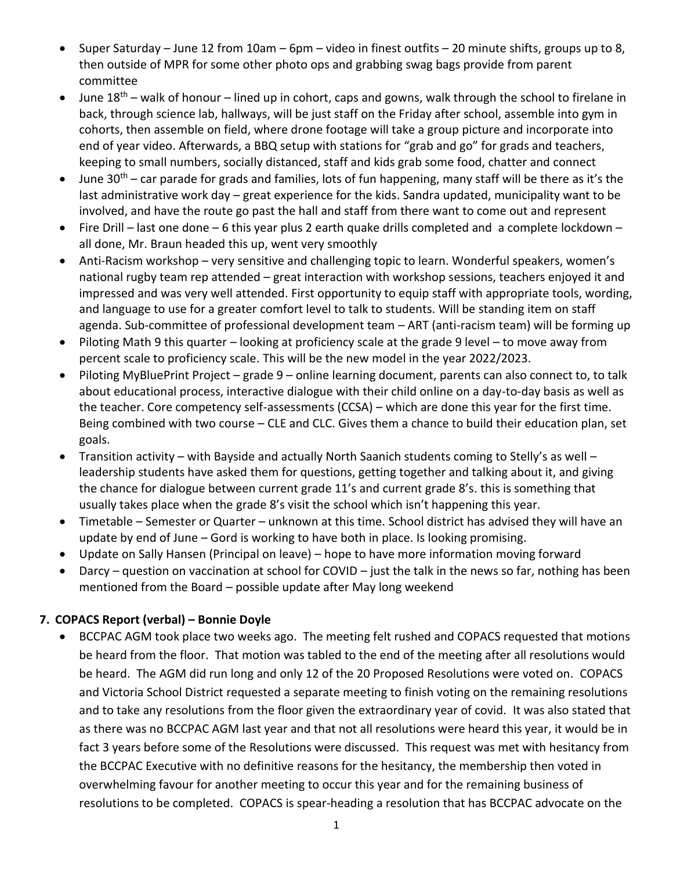- Super Saturday June 12 from 10am 6pm video in finest outfits 20 minute shifts, groups up to 8, then outside of MPR for some other photo ops and grabbing swag bags provide from parent committee
- June  $18<sup>th</sup>$  walk of honour lined up in cohort, caps and gowns, walk through the school to firelane in back, through science lab, hallways, will be just staff on the Friday after school, assemble into gym in cohorts, then assemble on field, where drone footage will take a group picture and incorporate into end of year video. Afterwards, a BBQ setup with stations for "grab and go" for grads and teachers, keeping to small numbers, socially distanced, staff and kids grab some food, chatter and connect
- June 30<sup>th</sup> car parade for grads and families, lots of fun happening, many staff will be there as it's the last administrative work day – great experience for the kids. Sandra updated, municipality want to be involved, and have the route go past the hall and staff from there want to come out and represent
- Fire Drill last one done 6 this year plus 2 earth quake drills completed and a complete lockdown all done, Mr. Braun headed this up, went very smoothly
- Anti-Racism workshop very sensitive and challenging topic to learn. Wonderful speakers, women's national rugby team rep attended – great interaction with workshop sessions, teachers enjoyed it and impressed and was very well attended. First opportunity to equip staff with appropriate tools, wording, and language to use for a greater comfort level to talk to students. Will be standing item on staff agenda. Sub-committee of professional development team – ART (anti-racism team) will be forming up
- Piloting Math 9 this quarter looking at proficiency scale at the grade 9 level to move away from percent scale to proficiency scale. This will be the new model in the year 2022/2023.
- Piloting MyBluePrint Project grade 9 online learning document, parents can also connect to, to talk about educational process, interactive dialogue with their child online on a day-to-day basis as well as the teacher. Core competency self-assessments (CCSA) – which are done this year for the first time. Being combined with two course – CLE and CLC. Gives them a chance to build their education plan, set goals.
- Transition activity with Bayside and actually North Saanich students coming to Stelly's as well leadership students have asked them for questions, getting together and talking about it, and giving the chance for dialogue between current grade 11's and current grade 8's. this is something that usually takes place when the grade 8's visit the school which isn't happening this year.
- Timetable Semester or Quarter unknown at this time. School district has advised they will have an update by end of June – Gord is working to have both in place. Is looking promising.
- Update on Sally Hansen (Principal on leave) hope to have more information moving forward
- Darcy question on vaccination at school for COVID just the talk in the news so far, nothing has been mentioned from the Board – possible update after May long weekend

# **7. COPACS Report (verbal) – Bonnie Doyle**

• BCCPAC AGM took place two weeks ago. The meeting felt rushed and COPACS requested that motions be heard from the floor. That motion was tabled to the end of the meeting after all resolutions would be heard. The AGM did run long and only 12 of the 20 Proposed Resolutions were voted on. COPACS and Victoria School District requested a separate meeting to finish voting on the remaining resolutions and to take any resolutions from the floor given the extraordinary year of covid. It was also stated that as there was no BCCPAC AGM last year and that not all resolutions were heard this year, it would be in fact 3 years before some of the Resolutions were discussed. This request was met with hesitancy from the BCCPAC Executive with no definitive reasons for the hesitancy, the membership then voted in overwhelming favour for another meeting to occur this year and for the remaining business of resolutions to be completed. COPACS is spear-heading a resolution that has BCCPAC advocate on the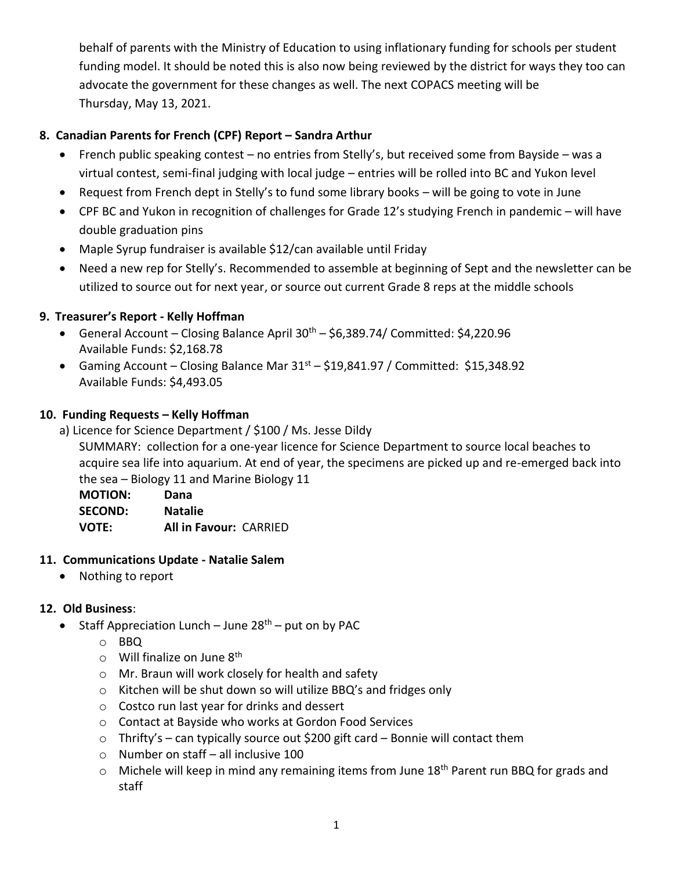behalf of parents with the Ministry of Education to using inflationary funding for schools per student funding model. It should be noted this is also now being reviewed by the district for ways they too can advocate the government for these changes as well. The next COPACS meeting will be Thursday, May 13, 2021.

#### **8. Canadian Parents for French (CPF) Report – Sandra Arthur**

- French public speaking contest no entries from Stelly's, but received some from Bayside was a virtual contest, semi-final judging with local judge – entries will be rolled into BC and Yukon level
- Request from French dept in Stelly's to fund some library books will be going to vote in June
- CPF BC and Yukon in recognition of challenges for Grade 12's studying French in pandemic will have double graduation pins
- Maple Syrup fundraiser is available \$12/can available until Friday
- Need a new rep for Stelly's. Recommended to assemble at beginning of Sept and the newsletter can be utilized to source out for next year, or source out current Grade 8 reps at the middle schools

#### **9. Treasurer's Report - Kelly Hoffman**

- General Account Closing Balance April  $30<sup>th</sup>$  \$6,389.74/ Committed: \$4,220.96 Available Funds: \$2,168.78
- Gaming Account Closing Balance Mar  $31<sup>st</sup>$  \$19,841.97 / Committed: \$15,348.92 Available Funds: \$4,493.05

#### **10. Funding Requests – Kelly Hoffman**

a) Licence for Science Department / \$100 / Ms. Jesse Dildy

SUMMARY: collection for a one-year licence for Science Department to source local beaches to acquire sea life into aquarium. At end of year, the specimens are picked up and re-emerged back into the sea – Biology 11 and Marine Biology 11

**MOTION: Dana SECOND: Natalie VOTE: All in Favour:** CARRIED

#### **11. Communications Update - Natalie Salem**

• Nothing to report

# **12. Old Business**:

- Staff Appreciation Lunch June  $28<sup>th</sup>$  put on by PAC
	- o BBQ
	- $\circ$  Will finalize on June 8<sup>th</sup>
	- o Mr. Braun will work closely for health and safety
	- o Kitchen will be shut down so will utilize BBQ's and fridges only
	- o Costco run last year for drinks and dessert
	- o Contact at Bayside who works at Gordon Food Services
	- $\circ$  Thrifty's can typically source out \$200 gift card Bonnie will contact them
	- o Number on staff all inclusive 100
	- $\circ$  Michele will keep in mind any remaining items from June 18<sup>th</sup> Parent run BBQ for grads and staff